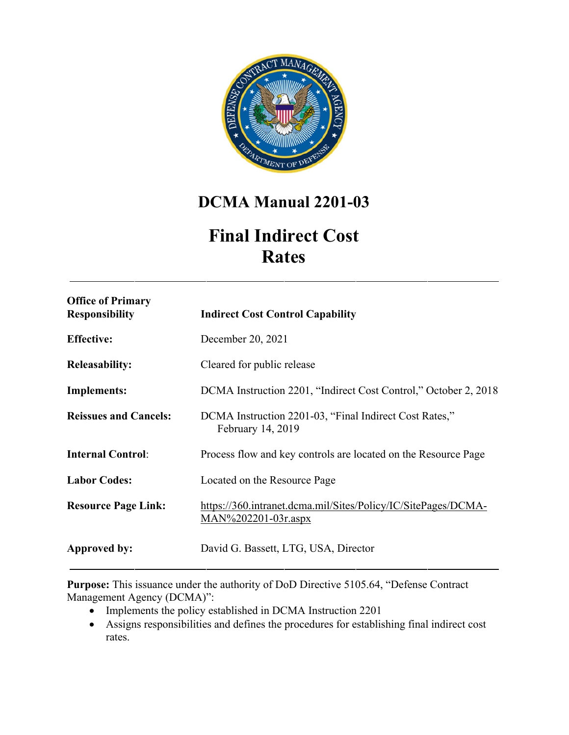

# **DCMA Manual 2201-03**

# **Final Indirect Cost Rates**

| <b>Office of Primary</b><br><b>Responsibility</b> | <b>Indirect Cost Control Capability</b>                                                  |
|---------------------------------------------------|------------------------------------------------------------------------------------------|
| <b>Effective:</b>                                 | December 20, 2021                                                                        |
| <b>Releasability:</b>                             | Cleared for public release                                                               |
| <b>Implements:</b>                                | DCMA Instruction 2201, "Indirect Cost Control," October 2, 2018                          |
| <b>Reissues and Cancels:</b>                      | DCMA Instruction 2201-03, "Final Indirect Cost Rates,"<br>February 14, 2019              |
| <b>Internal Control:</b>                          | Process flow and key controls are located on the Resource Page                           |
| <b>Labor Codes:</b>                               | Located on the Resource Page                                                             |
| <b>Resource Page Link:</b>                        | https://360.intranet.dcma.mil/Sites/Policy/IC/SitePages/DCMA-<br>$MAN\%202201-03r$ .aspx |
| Approved by:                                      | David G. Bassett, LTG, USA, Director                                                     |

**Purpose:** This issuance under the authority of DoD Directive 5105.64, "Defense Contract Management Agency (DCMA)":

- Implements the policy established in DCMA Instruction 2201
- Assigns responsibilities and defines the procedures for establishing final indirect cost rates.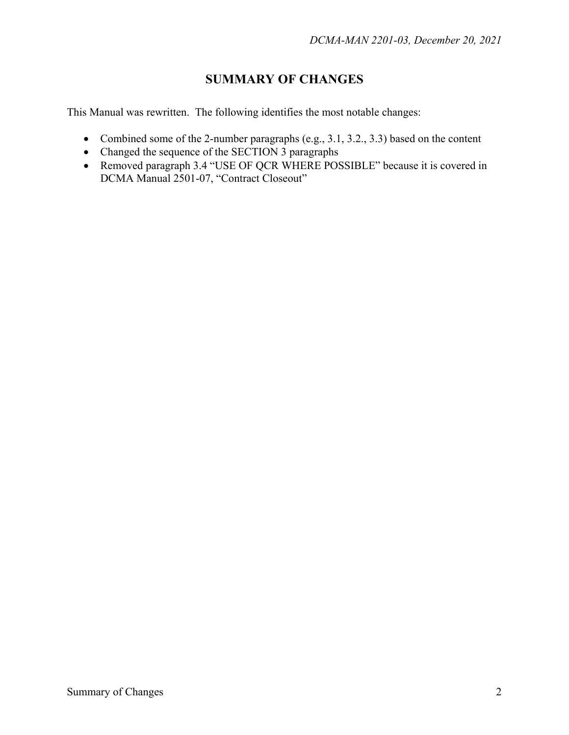## **SUMMARY OF CHANGES**

This Manual was rewritten. The following identifies the most notable changes:

- Combined some of the 2-number paragraphs (e.g., 3.1, 3.2., 3.3) based on the content
- Changed the sequence of the SECTION 3 paragraphs
- Removed paragraph 3.4 "USE OF QCR WHERE POSSIBLE" because it is covered in DCMA Manual 2501-07, "Contract Closeout"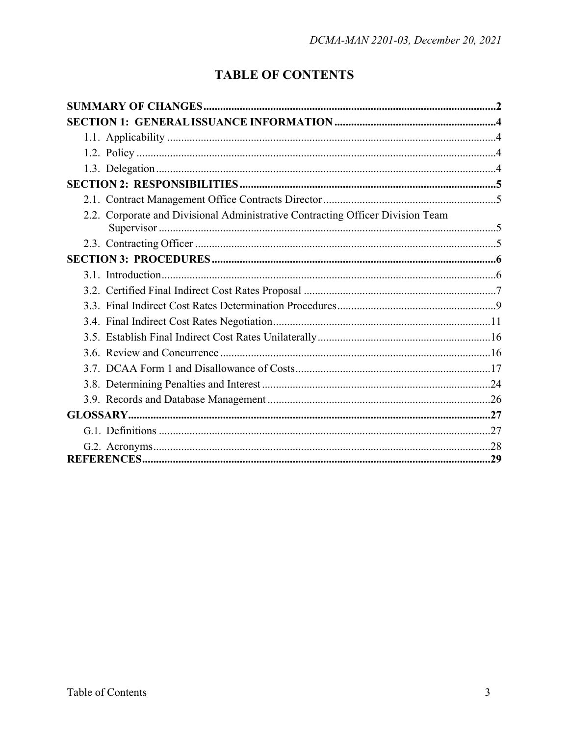# **TABLE OF CONTENTS**

| 2.2. Corporate and Divisional Administrative Contracting Officer Division Team |  |
|--------------------------------------------------------------------------------|--|
|                                                                                |  |
|                                                                                |  |
|                                                                                |  |
|                                                                                |  |
|                                                                                |  |
|                                                                                |  |
|                                                                                |  |
|                                                                                |  |
|                                                                                |  |
|                                                                                |  |
|                                                                                |  |
|                                                                                |  |
|                                                                                |  |
|                                                                                |  |
|                                                                                |  |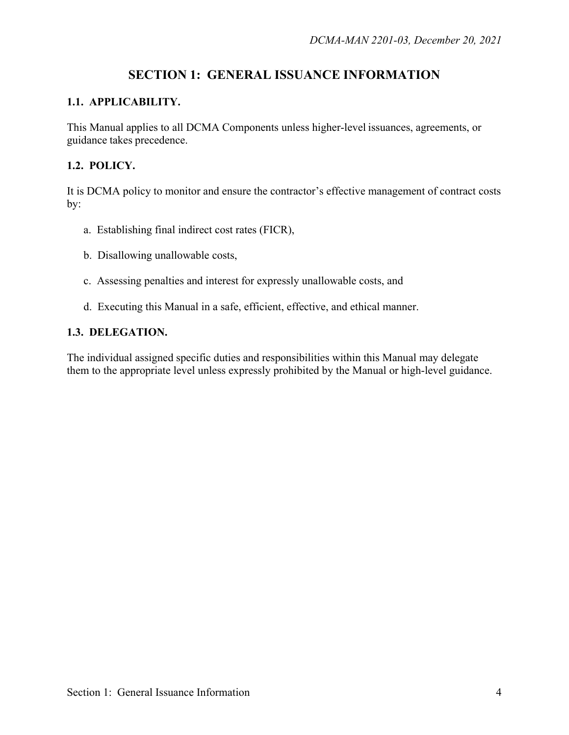## **SECTION 1: GENERAL ISSUANCE INFORMATION**

#### <span id="page-3-0"></span>**1.1. APPLICABILITY.**

This Manual applies to all DCMA Components unless higher-level issuances, agreements, or guidance takes precedence.

#### **1.2. POLICY.**

It is DCMA policy to monitor and ensure the contractor's effective management of contract costs by:

- a. Establishing final indirect cost rates (FICR),
- b. Disallowing unallowable costs,
- c. Assessing penalties and interest for expressly unallowable costs, and
- d. Executing this Manual in a safe, efficient, effective, and ethical manner.

#### **1.3. DELEGATION.**

The individual assigned specific duties and responsibilities within this Manual may delegate them to the appropriate level unless expressly prohibited by the Manual or high-level guidance.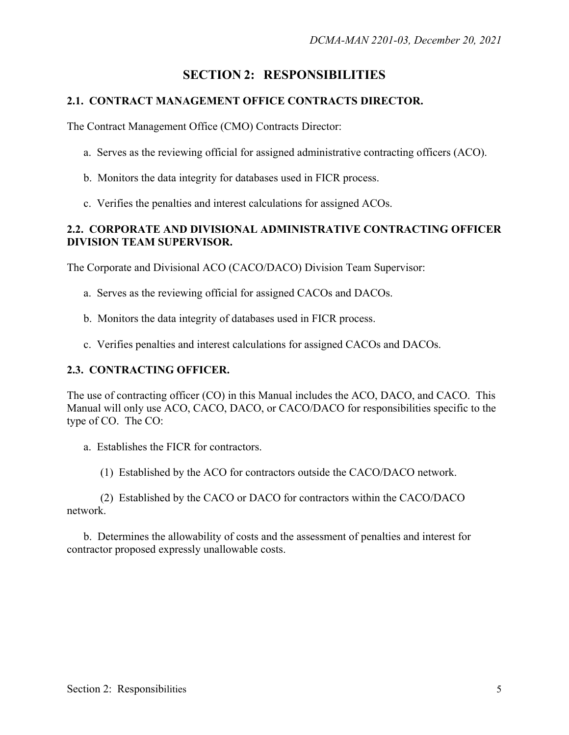## **SECTION 2: RESPONSIBILITIES**

#### <span id="page-4-0"></span>**2.1. CONTRACT MANAGEMENT OFFICE CONTRACTS DIRECTOR.**

The Contract Management Office (CMO) Contracts Director:

- a. Serves as the reviewing official for assigned administrative contracting officers (ACO).
- b. Monitors the data integrity for databases used in FICR process.
- c. Verifies the penalties and interest calculations for assigned ACOs.

#### **2.2. CORPORATE AND DIVISIONAL ADMINISTRATIVE CONTRACTING OFFICER DIVISION TEAM SUPERVISOR.**

The Corporate and Divisional ACO (CACO/DACO) Division Team Supervisor:

- a. Serves as the reviewing official for assigned CACOs and DACOs.
- b. Monitors the data integrity of databases used in FICR process.
- c. Verifies penalties and interest calculations for assigned CACOs and DACOs.

#### **2.3. CONTRACTING OFFICER.**

The use of contracting officer (CO) in this Manual includes the ACO, DACO, and CACO. This Manual will only use ACO, CACO, DACO, or CACO/DACO for responsibilities specific to the type of CO. The CO:

- a. Establishes the FICR for contractors.
	- (1) Established by the ACO for contractors outside the CACO/DACO network.

(2) Established by the CACO or DACO for contractors within the CACO/DACO network.

b. Determines the allowability of costs and the assessment of penalties and interest for contractor proposed expressly unallowable costs.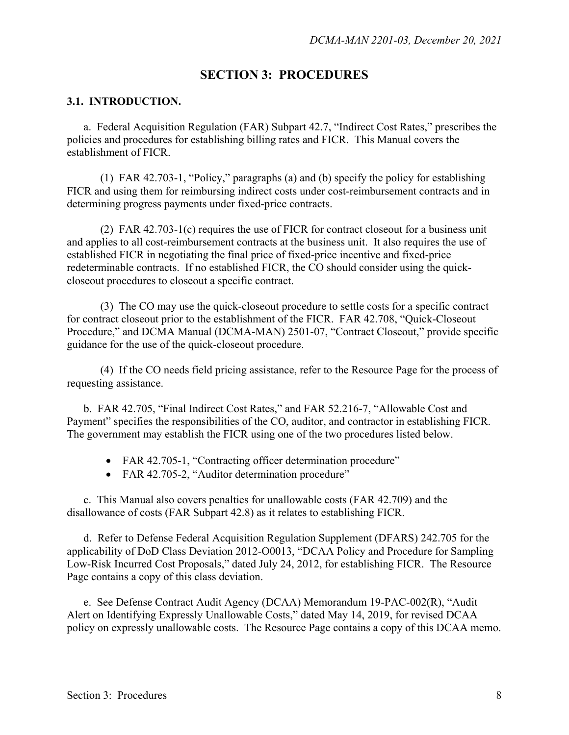### **SECTION 3: PROCEDURES**

#### **3.1. INTRODUCTION.**

a. Federal Acquisition Regulation (FAR) Subpart 42.7, "Indirect Cost Rates," prescribes the policies and procedures for establishing billing rates and FICR. This Manual covers the establishment of FICR.

(1) FAR 42.703-1, "Policy," paragraphs (a) and (b) specify the policy for establishing FICR and using them for reimbursing indirect costs under cost-reimbursement contracts and in determining progress payments under fixed-price contracts.

(2) FAR 42.703-1(c) requires the use of FICR for contract closeout for a business unit and applies to all cost-reimbursement contracts at the business unit. It also requires the use of established FICR in negotiating the final price of fixed-price incentive and fixed-price redeterminable contracts. If no established FICR, the CO should consider using the quickcloseout procedures to closeout a specific contract.

(3) The CO may use the quick-closeout procedure to settle costs for a specific contract for contract closeout prior to the establishment of the FICR. FAR 42.708, "Quick-Closeout Procedure," and DCMA Manual (DCMA-MAN) 2501-07, "Contract Closeout," provide specific guidance for the use of the quick-closeout procedure.

(4) If the CO needs field pricing assistance, refer to the Resource Page for the process of requesting assistance.

b. FAR 42.705, "Final Indirect Cost Rates," and FAR 52.216-7, "Allowable Cost and Payment" specifies the responsibilities of the CO, auditor, and contractor in establishing FICR. The government may establish the FICR using one of the two procedures listed below.

- FAR 42.705-1, "Contracting officer determination procedure"
- FAR 42.705-2, "Auditor determination procedure"

c. This Manual also covers penalties for unallowable costs (FAR 42.709) and the disallowance of costs (FAR Subpart 42.8) as it relates to establishing FICR.

d. Refer to Defense Federal Acquisition Regulation Supplement (DFARS) 242.705 for the applicability of DoD Class Deviation 2012-O0013, "DCAA Policy and Procedure for Sampling Low-Risk Incurred Cost Proposals," dated July 24, 2012, for establishing FICR. The Resource Page contains a copy of this class deviation.

e. See Defense Contract Audit Agency (DCAA) Memorandum 19-PAC-002(R), "Audit Alert on Identifying Expressly Unallowable Costs," dated May 14, 2019, for revised DCAA policy on expressly unallowable costs. The Resource Page contains a copy of this DCAA memo.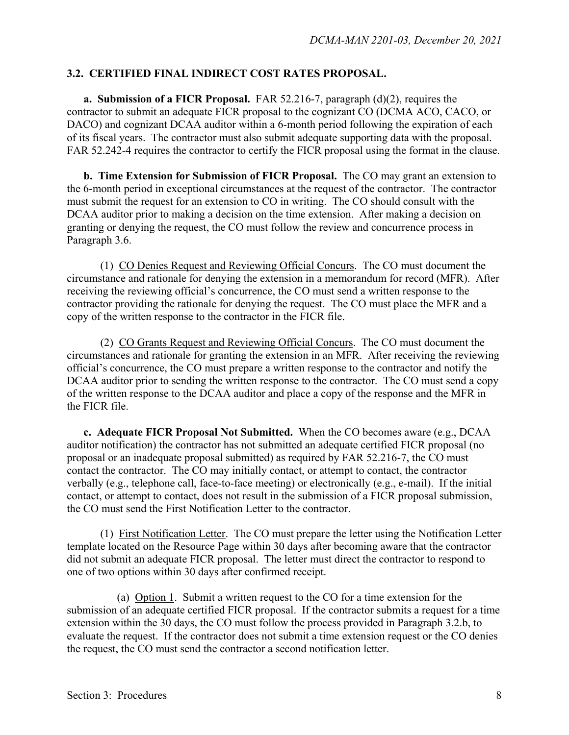#### **3.2. CERTIFIED FINAL INDIRECT COST RATES PROPOSAL.**

**a. Submission of a FICR Proposal.** FAR 52.216-7, paragraph (d)(2), requires the contractor to submit an adequate FICR proposal to the cognizant CO (DCMA ACO, CACO, or DACO) and cognizant DCAA auditor within a 6-month period following the expiration of each of its fiscal years. The contractor must also submit adequate supporting data with the proposal. FAR 52.242-4 requires the contractor to certify the FICR proposal using the format in the clause.

**b. Time Extension for Submission of FICR Proposal.** The CO may grant an extension to the 6-month period in exceptional circumstances at the request of the contractor. The contractor must submit the request for an extension to CO in writing. The CO should consult with the DCAA auditor prior to making a decision on the time extension. After making a decision on granting or denying the request, the CO must follow the review and concurrence process in Paragraph 3.6.

(1) CO Denies Request and Reviewing Official Concurs. The CO must document the circumstance and rationale for denying the extension in a memorandum for record (MFR). After receiving the reviewing official's concurrence, the CO must send a written response to the contractor providing the rationale for denying the request. The CO must place the MFR and a copy of the written response to the contractor in the FICR file.

(2) CO Grants Request and Reviewing Official Concurs. The CO must document the circumstances and rationale for granting the extension in an MFR. After receiving the reviewing official's concurrence, the CO must prepare a written response to the contractor and notify the DCAA auditor prior to sending the written response to the contractor. The CO must send a copy of the written response to the DCAA auditor and place a copy of the response and the MFR in the FICR file.

**c. Adequate FICR Proposal Not Submitted.** When the CO becomes aware (e.g., DCAA auditor notification) the contractor has not submitted an adequate certified FICR proposal (no proposal or an inadequate proposal submitted) as required by FAR 52.216-7, the CO must contact the contractor. The CO may initially contact, or attempt to contact, the contractor verbally (e.g., telephone call, face-to-face meeting) or electronically (e.g., e-mail). If the initial contact, or attempt to contact, does not result in the submission of a FICR proposal submission, the CO must send the First Notification Letter to the contractor.

(1) First Notification Letter. The CO must prepare the letter using the Notification Letter template located on the Resource Page within 30 days after becoming aware that the contractor did not submit an adequate FICR proposal. The letter must direct the contractor to respond to one of two options within 30 days after confirmed receipt.

(a) Option 1. Submit a written request to the CO for a time extension for the submission of an adequate certified FICR proposal. If the contractor submits a request for a time extension within the 30 days, the CO must follow the process provided in Paragraph 3.2.b, to evaluate the request. If the contractor does not submit a time extension request or the CO denies the request, the CO must send the contractor a second notification letter.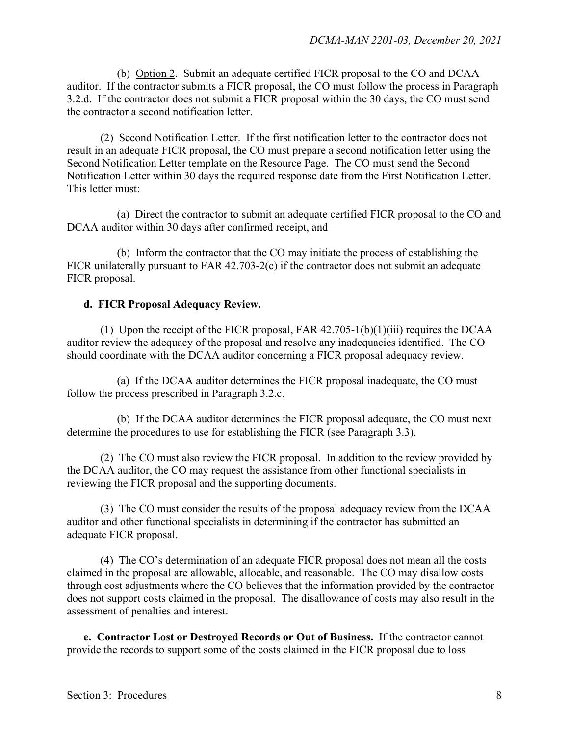(b) Option 2. Submit an adequate certified FICR proposal to the CO and DCAA auditor. If the contractor submits a FICR proposal, the CO must follow the process in Paragraph 3.2.d. If the contractor does not submit a FICR proposal within the 30 days, the CO must send the contractor a second notification letter.

(2) Second Notification Letter. If the first notification letter to the contractor does not result in an adequate FICR proposal, the CO must prepare a second notification letter using the Second Notification Letter template on the Resource Page. The CO must send the Second Notification Letter within 30 days the required response date from the First Notification Letter. This letter must:

(a) Direct the contractor to submit an adequate certified FICR proposal to the CO and DCAA auditor within 30 days after confirmed receipt, and

(b) Inform the contractor that the CO may initiate the process of establishing the FICR unilaterally pursuant to FAR 42.703-2(c) if the contractor does not submit an adequate FICR proposal.

#### **d. FICR Proposal Adequacy Review.**

(1) Upon the receipt of the FICR proposal, FAR  $42.705-1(b)(1)(iii)$  requires the DCAA auditor review the adequacy of the proposal and resolve any inadequacies identified. The CO should coordinate with the DCAA auditor concerning a FICR proposal adequacy review.

(a) If the DCAA auditor determines the FICR proposal inadequate, the CO must follow the process prescribed in Paragraph 3.2.c.

(b) If the DCAA auditor determines the FICR proposal adequate, the CO must next determine the procedures to use for establishing the FICR (see Paragraph 3.3).

(2) The CO must also review the FICR proposal. In addition to the review provided by the DCAA auditor, the CO may request the assistance from other functional specialists in reviewing the FICR proposal and the supporting documents.

(3) The CO must consider the results of the proposal adequacy review from the DCAA auditor and other functional specialists in determining if the contractor has submitted an adequate FICR proposal.

(4) The CO's determination of an adequate FICR proposal does not mean all the costs claimed in the proposal are allowable, allocable, and reasonable. The CO may disallow costs through cost adjustments where the CO believes that the information provided by the contractor does not support costs claimed in the proposal. The disallowance of costs may also result in the assessment of penalties and interest.

**e. Contractor Lost or Destroyed Records or Out of Business.** If the contractor cannot provide the records to support some of the costs claimed in the FICR proposal due to loss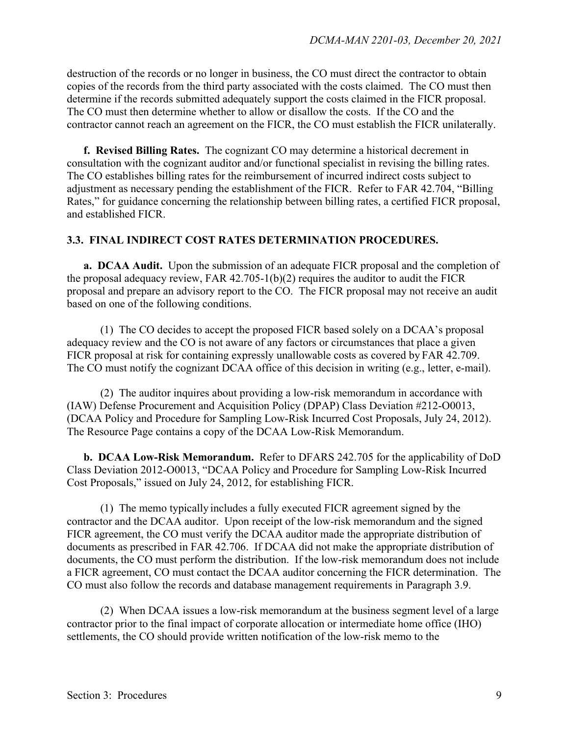destruction of the records or no longer in business, the CO must direct the contractor to obtain copies of the records from the third party associated with the costs claimed. The CO must then determine if the records submitted adequately support the costs claimed in the FICR proposal. The CO must then determine whether to allow or disallow the costs. If the CO and the contractor cannot reach an agreement on the FICR, the CO must establish the FICR unilaterally.

**f. Revised Billing Rates.** The cognizant CO may determine a historical decrement in consultation with the cognizant auditor and/or functional specialist in revising the billing rates. The CO establishes billing rates for the reimbursement of incurred indirect costs subject to adjustment as necessary pending the establishment of the FICR. Refer to FAR 42.704, "Billing Rates," for guidance concerning the relationship between billing rates, a certified FICR proposal, and established FICR.

#### **3.3. FINAL INDIRECT COST RATES DETERMINATION PROCEDURES.**

**a. DCAA Audit.** Upon the submission of an adequate FICR proposal and the completion of the proposal adequacy review, FAR 42.705-1(b)(2) requires the auditor to audit the FICR proposal and prepare an advisory report to the CO. The FICR proposal may not receive an audit based on one of the following conditions.

(1) The CO decides to accept the proposed FICR based solely on a DCAA's proposal adequacy review and the CO is not aware of any factors or circumstances that place a given FICR proposal at risk for containing expressly unallowable costs as covered by FAR 42.709. The CO must notify the cognizant DCAA office of this decision in writing (e.g., letter, e-mail).

(2) The auditor inquires about providing a low-risk memorandum in accordance with (IAW) Defense Procurement and Acquisition Policy (DPAP) Class Deviation #212-O0013, (DCAA Policy and Procedure for Sampling Low-Risk Incurred Cost Proposals, July 24, 2012). The Resource Page contains a copy of the DCAA Low-Risk Memorandum.

**b. DCAA Low-Risk Memorandum.** Refer to DFARS 242.705 for the applicability of DoD Class Deviation 2012-O0013, "DCAA Policy and Procedure for Sampling Low-Risk Incurred Cost Proposals," issued on July 24, 2012, for establishing FICR.

(1) The memo typically includes a fully executed FICR agreement signed by the contractor and the DCAA auditor. Upon receipt of the low-risk memorandum and the signed FICR agreement, the CO must verify the DCAA auditor made the appropriate distribution of documents as prescribed in FAR 42.706. If DCAA did not make the appropriate distribution of documents, the CO must perform the distribution. If the low-risk memorandum does not include a FICR agreement, CO must contact the DCAA auditor concerning the FICR determination. The CO must also follow the records and database management requirements in Paragraph 3.9.

(2) When DCAA issues a low-risk memorandum at the business segment level of a large contractor prior to the final impact of corporate allocation or intermediate home office (IHO) settlements, the CO should provide written notification of the low-risk memo to the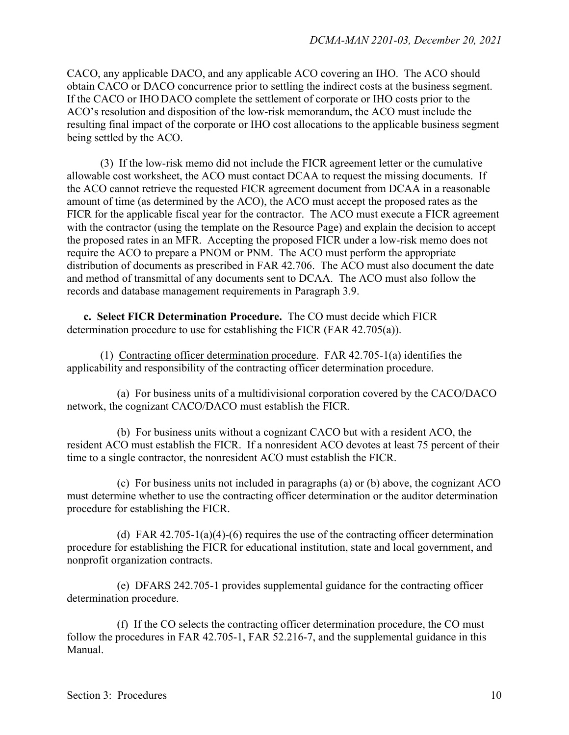CACO, any applicable DACO, and any applicable ACO covering an IHO. The ACO should obtain CACO or DACO concurrence prior to settling the indirect costs at the business segment. If the CACO or IHODACO complete the settlement of corporate or IHO costs prior to the ACO's resolution and disposition of the low-risk memorandum, the ACO must include the resulting final impact of the corporate or IHO cost allocations to the applicable business segment being settled by the ACO.

(3) If the low-risk memo did not include the FICR agreement letter or the cumulative allowable cost worksheet, the ACO must contact DCAA to request the missing documents. If the ACO cannot retrieve the requested FICR agreement document from DCAA in a reasonable amount of time (as determined by the ACO), the ACO must accept the proposed rates as the FICR for the applicable fiscal year for the contractor. The ACO must execute a FICR agreement with the contractor (using the template on the Resource Page) and explain the decision to accept the proposed rates in an MFR. Accepting the proposed FICR under a low-risk memo does not require the ACO to prepare a PNOM or PNM. The ACO must perform the appropriate distribution of documents as prescribed in FAR 42.706. The ACO must also document the date and method of transmittal of any documents sent to DCAA. The ACO must also follow the records and database management requirements in Paragraph 3.9.

**c. Select FICR Determination Procedure.** The CO must decide which FICR determination procedure to use for establishing the FICR (FAR 42.705(a)).

(1) Contracting officer determination procedure. FAR 42.705-1(a) identifies the applicability and responsibility of the contracting officer determination procedure.

(a) For business units of a multidivisional corporation covered by the CACO/DACO network, the cognizant CACO/DACO must establish the FICR.

(b) For business units without a cognizant CACO but with a resident ACO, the resident ACO must establish the FICR. If a nonresident ACO devotes at least 75 percent of their time to a single contractor, the nonresident ACO must establish the FICR.

(c) For business units not included in paragraphs (a) or (b) above, the cognizant ACO must determine whether to use the contracting officer determination or the auditor determination procedure for establishing the FICR.

(d) FAR 42.705-1(a)(4)-(6) requires the use of the contracting officer determination procedure for establishing the FICR for educational institution, state and local government, and nonprofit organization contracts.

(e) DFARS 242.705-1 provides supplemental guidance for the contracting officer determination procedure.

(f) If the CO selects the contracting officer determination procedure, the CO must follow the procedures in FAR 42.705-1, FAR 52.216-7, and the supplemental guidance in this Manual.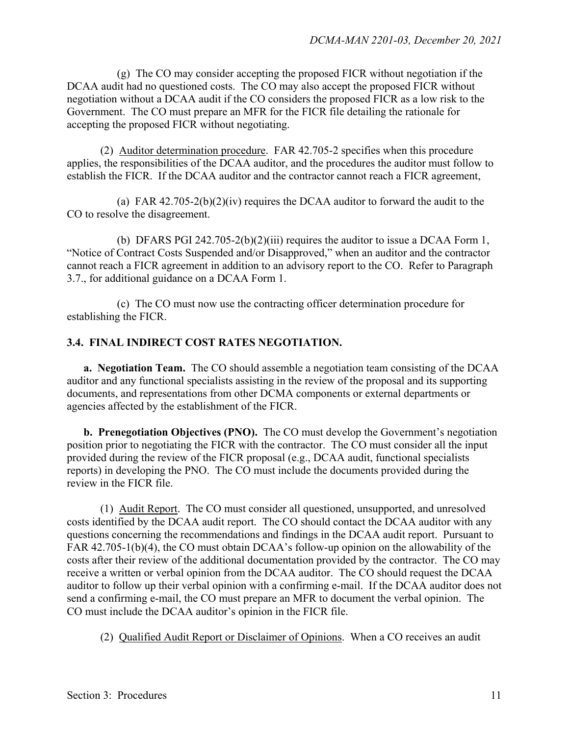(g) The CO may consider accepting the proposed FICR without negotiation if the DCAA audit had no questioned costs. The CO may also accept the proposed FICR without negotiation without a DCAA audit if the CO considers the proposed FICR as a low risk to the Government. The CO must prepare an MFR for the FICR file detailing the rationale for accepting the proposed FICR without negotiating.

(2) Auditor determination procedure. FAR 42.705-2 specifies when this procedure applies, the responsibilities of the DCAA auditor, and the procedures the auditor must follow to establish the FICR. If the DCAA auditor and the contractor cannot reach a FICR agreement,

(a) FAR  $42.705-2(b)(2)(iv)$  requires the DCAA auditor to forward the audit to the CO to resolve the disagreement.

(b) DFARS PGI 242.705-2(b)(2)(iii) requires the auditor to issue a DCAA Form 1, "Notice of Contract Costs Suspended and/or Disapproved," when an auditor and the contractor cannot reach a FICR agreement in addition to an advisory report to the CO. Refer to Paragraph 3.7., for additional guidance on a DCAA Form 1.

(c) The CO must now use the contracting officer determination procedure for establishing the FICR.

#### **3.4. FINAL INDIRECT COST RATES NEGOTIATION.**

**a. Negotiation Team.** The CO should assemble a negotiation team consisting of the DCAA auditor and any functional specialists assisting in the review of the proposal and its supporting documents, and representations from other DCMA components or external departments or agencies affected by the establishment of the FICR.

**b. Prenegotiation Objectives (PNO).** The CO must develop the Government's negotiation position prior to negotiating the FICR with the contractor. The CO must consider all the input provided during the review of the FICR proposal (e.g., DCAA audit, functional specialists reports) in developing the PNO. The CO must include the documents provided during the review in the FICR file.

(1) Audit Report. The CO must consider all questioned, unsupported, and unresolved costs identified by the DCAA audit report. The CO should contact the DCAA auditor with any questions concerning the recommendations and findings in the DCAA audit report. Pursuant to FAR 42.705-1(b)(4), the CO must obtain DCAA's follow-up opinion on the allowability of the costs after their review of the additional documentation provided by the contractor. The CO may receive a written or verbal opinion from the DCAA auditor. The CO should request the DCAA auditor to follow up their verbal opinion with a confirming e-mail. If the DCAA auditor does not send a confirming e-mail, the CO must prepare an MFR to document the verbal opinion. The CO must include the DCAA auditor's opinion in the FICR file.

(2) Qualified Audit Report or Disclaimer of Opinions. When a CO receives an audit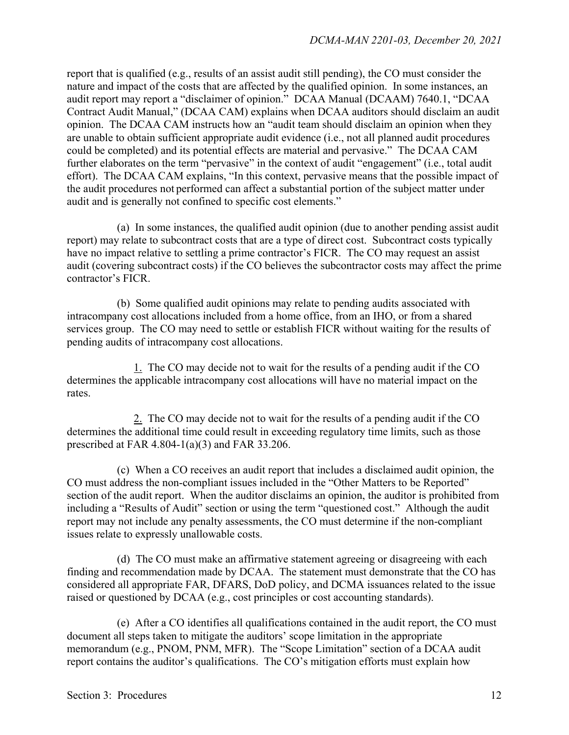report that is qualified (e.g., results of an assist audit still pending), the CO must consider the nature and impact of the costs that are affected by the qualified opinion. In some instances, an audit report may report a "disclaimer of opinion." DCAA Manual (DCAAM) 7640.1, "DCAA Contract Audit Manual," (DCAA CAM) explains when DCAA auditors should disclaim an audit opinion. The DCAA CAM instructs how an "audit team should disclaim an opinion when they are unable to obtain sufficient appropriate audit evidence (i.e., not all planned audit procedures could be completed) and its potential effects are material and pervasive." The DCAA CAM further elaborates on the term "pervasive" in the context of audit "engagement" (i.e., total audit effort). The DCAA CAM explains, "In this context, pervasive means that the possible impact of the audit procedures not performed can affect a substantial portion of the subject matter under audit and is generally not confined to specific cost elements."

(a) In some instances, the qualified audit opinion (due to another pending assist audit report) may relate to subcontract costs that are a type of direct cost. Subcontract costs typically have no impact relative to settling a prime contractor's FICR. The CO may request an assist audit (covering subcontract costs) if the CO believes the subcontractor costs may affect the prime contractor's FICR.

(b) Some qualified audit opinions may relate to pending audits associated with intracompany cost allocations included from a home office, from an IHO, or from a shared services group. The CO may need to settle or establish FICR without waiting for the results of pending audits of intracompany cost allocations.

1. The CO may decide not to wait for the results of a pending audit if the CO determines the applicable intracompany cost allocations will have no material impact on the rates.

2. The CO may decide not to wait for the results of a pending audit if the CO determines the additional time could result in exceeding regulatory time limits, such as those prescribed at FAR 4.804-1(a)(3) and FAR 33.206.

(c) When a CO receives an audit report that includes a disclaimed audit opinion, the CO must address the non-compliant issues included in the "Other Matters to be Reported" section of the audit report. When the auditor disclaims an opinion, the auditor is prohibited from including a "Results of Audit" section or using the term "questioned cost." Although the audit report may not include any penalty assessments, the CO must determine if the non-compliant issues relate to expressly unallowable costs.

(d) The CO must make an affirmative statement agreeing or disagreeing with each finding and recommendation made by DCAA. The statement must demonstrate that the CO has considered all appropriate FAR, DFARS, DoD policy, and DCMA issuances related to the issue raised or questioned by DCAA (e.g., cost principles or cost accounting standards).

(e) After a CO identifies all qualifications contained in the audit report, the CO must document all steps taken to mitigate the auditors' scope limitation in the appropriate memorandum (e.g., PNOM, PNM, MFR). The "Scope Limitation" section of a DCAA audit report contains the auditor's qualifications. The CO's mitigation efforts must explain how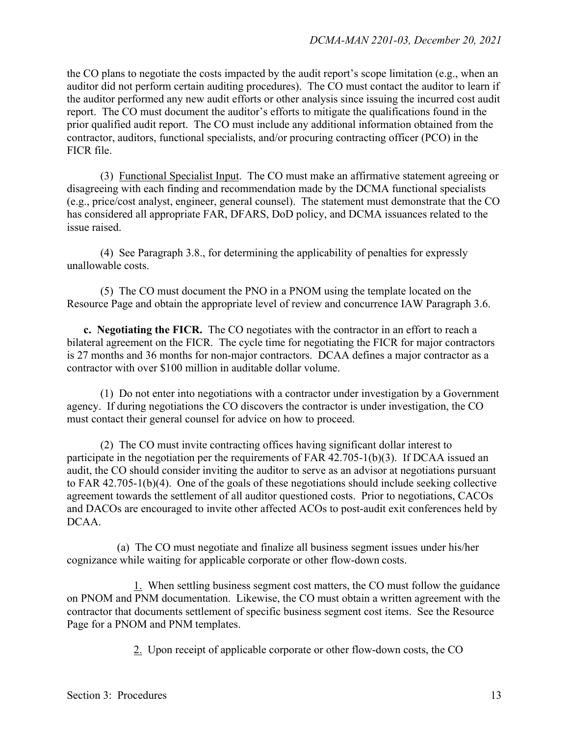the CO plans to negotiate the costs impacted by the audit report's scope limitation (e.g., when an auditor did not perform certain auditing procedures). The CO must contact the auditor to learn if the auditor performed any new audit efforts or other analysis since issuing the incurred cost audit report. The CO must document the auditor's efforts to mitigate the qualifications found in the prior qualified audit report. The CO must include any additional information obtained from the contractor, auditors, functional specialists, and/or procuring contracting officer (PCO) in the FICR file.

(3) Functional Specialist Input. The CO must make an affirmative statement agreeing or disagreeing with each finding and recommendation made by the DCMA functional specialists (e.g., price/cost analyst, engineer, general counsel). The statement must demonstrate that the CO has considered all appropriate FAR, DFARS, DoD policy, and DCMA issuances related to the issue raised.

(4) See Paragraph 3.8., for determining the applicability of penalties for expressly unallowable costs.

(5) The CO must document the PNO in a PNOM using the template located on the Resource Page and obtain the appropriate level of review and concurrence IAW Paragraph 3.6.

**c. Negotiating the FICR.** The CO negotiates with the contractor in an effort to reach a bilateral agreement on the FICR. The cycle time for negotiating the FICR for major contractors is 27 months and 36 months for non-major contractors. DCAA defines a major contractor as a contractor with over \$100 million in auditable dollar volume.

 (1) Do not enter into negotiations with a contractor under investigation by a Government agency. If during negotiations the CO discovers the contractor is under investigation, the CO must contact their general counsel for advice on how to proceed.

(2) The CO must invite contracting offices having significant dollar interest to participate in the negotiation per the requirements of FAR 42.705-1(b)(3). If DCAA issued an audit, the CO should consider inviting the auditor to serve as an advisor at negotiations pursuant to FAR 42.705-1(b)(4). One of the goals of these negotiations should include seeking collective agreement towards the settlement of all auditor questioned costs. Prior to negotiations, CACOs and DACOs are encouraged to invite other affected ACOs to post-audit exit conferences held by DCAA.

(a) The CO must negotiate and finalize all business segment issues under his/her cognizance while waiting for applicable corporate or other flow-down costs.

1. When settling business segment cost matters, the CO must follow the guidance on PNOM and PNM documentation. Likewise, the CO must obtain a written agreement with the contractor that documents settlement of specific business segment cost items. See the Resource Page for a PNOM and PNM templates.

2. Upon receipt of applicable corporate or other flow-down costs, the CO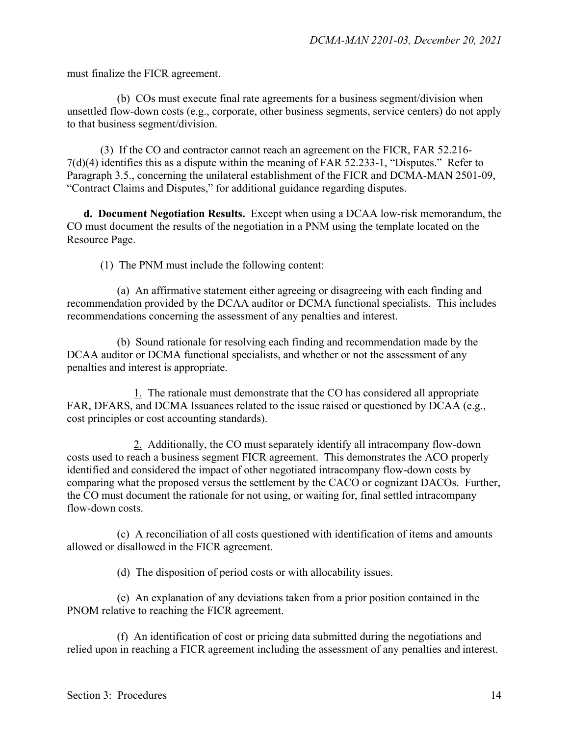must finalize the FICR agreement.

(b) COs must execute final rate agreements for a business segment/division when unsettled flow-down costs (e.g., corporate, other business segments, service centers) do not apply to that business segment/division.

(3) If the CO and contractor cannot reach an agreement on the FICR, FAR 52.216- 7(d)(4) identifies this as a dispute within the meaning of FAR 52.233-1, "Disputes." Refer to Paragraph 3.5., concerning the unilateral establishment of the FICR and DCMA-MAN 2501-09, "Contract Claims and Disputes," for additional guidance regarding disputes.

**d. Document Negotiation Results.** Except when using a DCAA low-risk memorandum, the CO must document the results of the negotiation in a PNM using the template located on the Resource Page.

(1) The PNM must include the following content:

(a) An affirmative statement either agreeing or disagreeing with each finding and recommendation provided by the DCAA auditor or DCMA functional specialists. This includes recommendations concerning the assessment of any penalties and interest.

(b) Sound rationale for resolving each finding and recommendation made by the DCAA auditor or DCMA functional specialists, and whether or not the assessment of any penalties and interest is appropriate.

1. The rationale must demonstrate that the CO has considered all appropriate FAR, DFARS, and DCMA Issuances related to the issue raised or questioned by DCAA (e.g., cost principles or cost accounting standards).

2. Additionally, the CO must separately identify all intracompany flow-down costs used to reach a business segment FICR agreement. This demonstrates the ACO properly identified and considered the impact of other negotiated intracompany flow-down costs by comparing what the proposed versus the settlement by the CACO or cognizant DACOs. Further, the CO must document the rationale for not using, or waiting for, final settled intracompany flow-down costs.

(c) A reconciliation of all costs questioned with identification of items and amounts allowed or disallowed in the FICR agreement.

(d) The disposition of period costs or with allocability issues.

(e) An explanation of any deviations taken from a prior position contained in the PNOM relative to reaching the FICR agreement.

(f) An identification of cost or pricing data submitted during the negotiations and relied upon in reaching a FICR agreement including the assessment of any penalties and interest.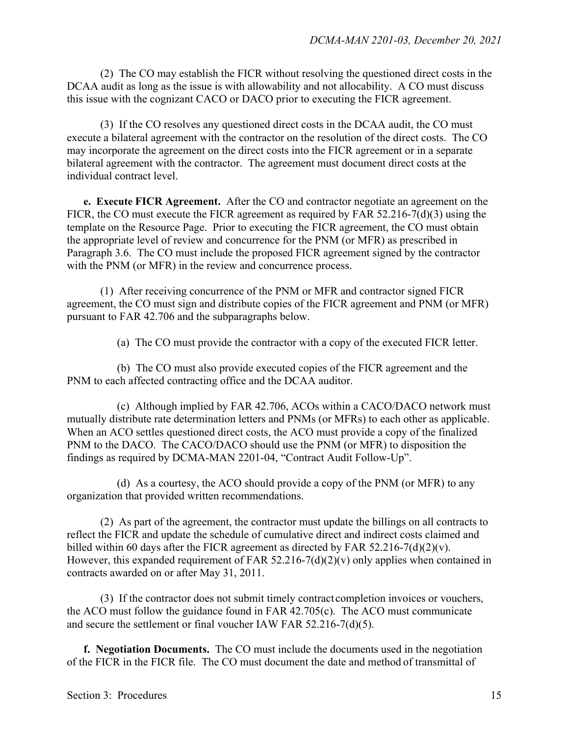(2) The CO may establish the FICR without resolving the questioned direct costs in the DCAA audit as long as the issue is with allowability and not allocability. A CO must discuss this issue with the cognizant CACO or DACO prior to executing the FICR agreement.

(3) If the CO resolves any questioned direct costs in the DCAA audit, the CO must execute a bilateral agreement with the contractor on the resolution of the direct costs. The CO may incorporate the agreement on the direct costs into the FICR agreement or in a separate bilateral agreement with the contractor. The agreement must document direct costs at the individual contract level.

**e. Execute FICR Agreement.** After the CO and contractor negotiate an agreement on the FICR, the CO must execute the FICR agreement as required by FAR 52.216-7(d)(3) using the template on the Resource Page. Prior to executing the FICR agreement, the CO must obtain the appropriate level of review and concurrence for the PNM (or MFR) as prescribed in Paragraph 3.6. The CO must include the proposed FICR agreement signed by the contractor with the PNM (or MFR) in the review and concurrence process.

(1) After receiving concurrence of the PNM or MFR and contractor signed FICR agreement, the CO must sign and distribute copies of the FICR agreement and PNM (or MFR) pursuant to FAR 42.706 and the subparagraphs below.

(a) The CO must provide the contractor with a copy of the executed FICR letter.

(b) The CO must also provide executed copies of the FICR agreement and the PNM to each affected contracting office and the DCAA auditor.

(c) Although implied by FAR 42.706, ACOs within a CACO/DACO network must mutually distribute rate determination letters and PNMs (or MFRs) to each other as applicable. When an ACO settles questioned direct costs, the ACO must provide a copy of the finalized PNM to the DACO. The CACO/DACO should use the PNM (or MFR) to disposition the findings as required by DCMA-MAN 2201-04, "Contract Audit Follow-Up".

(d) As a courtesy, the ACO should provide a copy of the PNM (or MFR) to any organization that provided written recommendations.

(2) As part of the agreement, the contractor must update the billings on all contracts to reflect the FICR and update the schedule of cumulative direct and indirect costs claimed and billed within 60 days after the FICR agreement as directed by FAR  $52.216 - 7(d)(2)(v)$ . However, this expanded requirement of FAR 52.216-7(d)(2)(v) only applies when contained in contracts awarded on or after May 31, 2011.

(3) If the contractor does not submit timely contract completion invoices or vouchers, the ACO must follow the guidance found in FAR 42.705(c). The ACO must communicate and secure the settlement or final voucher IAW FAR 52.216-7(d)(5).

**f. Negotiation Documents.** The CO must include the documents used in the negotiation of the FICR in the FICR file. The CO must document the date and method of transmittal of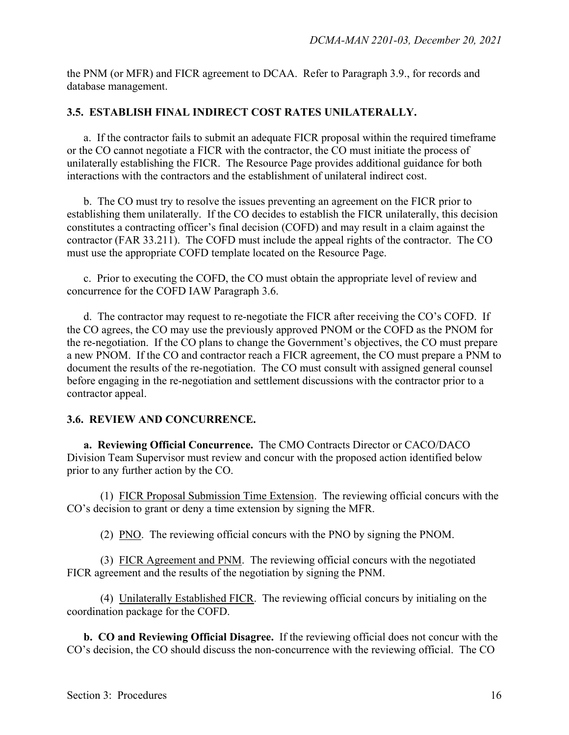the PNM (or MFR) and FICR agreement to DCAA. Refer to Paragraph 3.9., for records and database management.

#### **3.5. ESTABLISH FINAL INDIRECT COST RATES UNILATERALLY.**

a. If the contractor fails to submit an adequate FICR proposal within the required timeframe or the CO cannot negotiate a FICR with the contractor, the CO must initiate the process of unilaterally establishing the FICR. The Resource Page provides additional guidance for both interactions with the contractors and the establishment of unilateral indirect cost.

 b. The CO must try to resolve the issues preventing an agreement on the FICR prior to establishing them unilaterally. If the CO decides to establish the FICR unilaterally, this decision constitutes a contracting officer's final decision (COFD) and may result in a claim against the contractor (FAR 33.211). The COFD must include the appeal rights of the contractor. The CO must use the appropriate COFD template located on the Resource Page.

c. Prior to executing the COFD, the CO must obtain the appropriate level of review and concurrence for the COFD IAW Paragraph 3.6.

d. The contractor may request to re-negotiate the FICR after receiving the CO's COFD. If the CO agrees, the CO may use the previously approved PNOM or the COFD as the PNOM for the re-negotiation. If the CO plans to change the Government's objectives, the CO must prepare a new PNOM. If the CO and contractor reach a FICR agreement, the CO must prepare a PNM to document the results of the re-negotiation. The CO must consult with assigned general counsel before engaging in the re-negotiation and settlement discussions with the contractor prior to a contractor appeal.

#### **3.6. REVIEW AND CONCURRENCE.**

**a. Reviewing Official Concurrence.** The CMO Contracts Director or CACO/DACO Division Team Supervisor must review and concur with the proposed action identified below prior to any further action by the CO.

(1) FICR Proposal Submission Time Extension. The reviewing official concurs with the CO's decision to grant or deny a time extension by signing the MFR.

(2) PNO. The reviewing official concurs with the PNO by signing the PNOM.

(3) FICR Agreement and PNM. The reviewing official concurs with the negotiated FICR agreement and the results of the negotiation by signing the PNM.

(4) Unilaterally Established FICR. The reviewing official concurs by initialing on the coordination package for the COFD.

**b. CO and Reviewing Official Disagree.** If the reviewing official does not concur with the CO's decision, the CO should discuss the non-concurrence with the reviewing official. The CO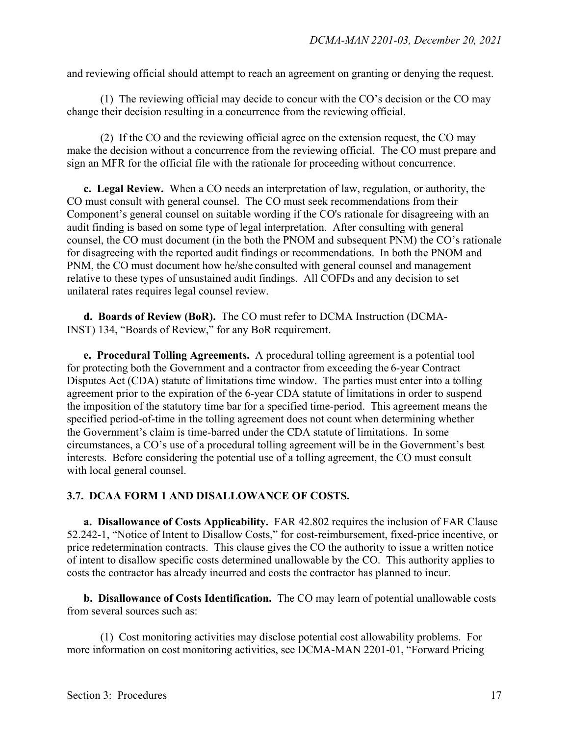and reviewing official should attempt to reach an agreement on granting or denying the request.

(1) The reviewing official may decide to concur with the CO's decision or the CO may change their decision resulting in a concurrence from the reviewing official.

(2) If the CO and the reviewing official agree on the extension request, the CO may make the decision without a concurrence from the reviewing official. The CO must prepare and sign an MFR for the official file with the rationale for proceeding without concurrence.

**c. Legal Review.** When a CO needs an interpretation of law, regulation, or authority, the CO must consult with general counsel. The CO must seek recommendations from their Component's general counsel on suitable wording if the CO's rationale for disagreeing with an audit finding is based on some type of legal interpretation. After consulting with general counsel, the CO must document (in the both the PNOM and subsequent PNM) the CO's rationale for disagreeing with the reported audit findings or recommendations. In both the PNOM and PNM, the CO must document how he/she consulted with general counsel and management relative to these types of unsustained audit findings. All COFDs and any decision to set unilateral rates requires legal counsel review.

**d. Boards of Review (BoR).** The CO must refer to DCMA Instruction (DCMA-INST) 134, "Boards of Review," for any BoR requirement.

**e. Procedural Tolling Agreements.** A procedural tolling agreement is a potential tool for protecting both the Government and a contractor from exceeding the 6-year Contract Disputes Act (CDA) statute of limitations time window. The parties must enter into a tolling agreement prior to the expiration of the 6-year CDA statute of limitations in order to suspend the imposition of the statutory time bar for a specified time-period. This agreement means the specified period-of-time in the tolling agreement does not count when determining whether the Government's claim is time-barred under the CDA statute of limitations. In some circumstances, a CO's use of a procedural tolling agreement will be in the Government's best interests. Before considering the potential use of a tolling agreement, the CO must consult with local general counsel.

#### **3.7. DCAA FORM 1 AND DISALLOWANCE OF COSTS.**

**a. Disallowance of Costs Applicability.** FAR 42.802 requires the inclusion of FAR Clause 52.242-1, "Notice of Intent to Disallow Costs," for cost-reimbursement, fixed-price incentive, or price redetermination contracts. This clause gives the CO the authority to issue a written notice of intent to disallow specific costs determined unallowable by the CO. This authority applies to costs the contractor has already incurred and costs the contractor has planned to incur.

**b. Disallowance of Costs Identification.** The CO may learn of potential unallowable costs from several sources such as:

(1) Cost monitoring activities may disclose potential cost allowability problems. For more information on cost monitoring activities, see DCMA-MAN 2201-01, "Forward Pricing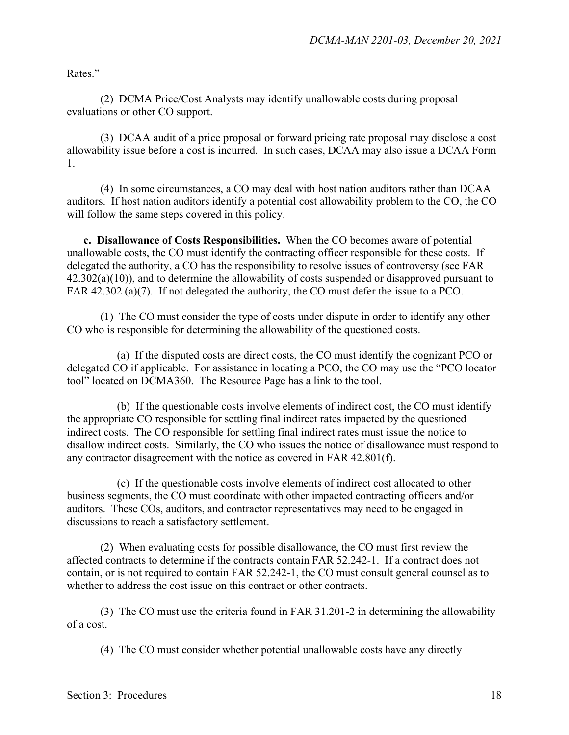Rates."

(2) DCMA Price/Cost Analysts may identify unallowable costs during proposal evaluations or other CO support.

(3) DCAA audit of a price proposal or forward pricing rate proposal may disclose a cost allowability issue before a cost is incurred. In such cases, DCAA may also issue a DCAA Form 1.

(4) In some circumstances, a CO may deal with host nation auditors rather than DCAA auditors. If host nation auditors identify a potential cost allowability problem to the CO, the CO will follow the same steps covered in this policy.

**c. Disallowance of Costs Responsibilities.** When the CO becomes aware of potential unallowable costs, the CO must identify the contracting officer responsible for these costs. If delegated the authority, a CO has the responsibility to resolve issues of controversy (see FAR  $42.302(a)(10)$ , and to determine the allowability of costs suspended or disapproved pursuant to FAR 42.302 (a)(7). If not delegated the authority, the CO must defer the issue to a PCO.

(1) The CO must consider the type of costs under dispute in order to identify any other CO who is responsible for determining the allowability of the questioned costs.

(a) If the disputed costs are direct costs, the CO must identify the cognizant PCO or delegated CO if applicable. For assistance in locating a PCO, the CO may use the "PCO locator tool" located on DCMA360. The Resource Page has a link to the tool.

(b) If the questionable costs involve elements of indirect cost, the CO must identify the appropriate CO responsible for settling final indirect rates impacted by the questioned indirect costs. The CO responsible for settling final indirect rates must issue the notice to disallow indirect costs. Similarly, the CO who issues the notice of disallowance must respond to any contractor disagreement with the notice as covered in FAR 42.801(f).

(c) If the questionable costs involve elements of indirect cost allocated to other business segments, the CO must coordinate with other impacted contracting officers and/or auditors. These COs, auditors, and contractor representatives may need to be engaged in discussions to reach a satisfactory settlement.

(2) When evaluating costs for possible disallowance, the CO must first review the affected contracts to determine if the contracts contain FAR 52.242-1. If a contract does not contain, or is not required to contain FAR 52.242-1, the CO must consult general counsel as to whether to address the cost issue on this contract or other contracts.

(3) The CO must use the criteria found in FAR 31.201-2 in determining the allowability of a cost.

(4) The CO must consider whether potential unallowable costs have any directly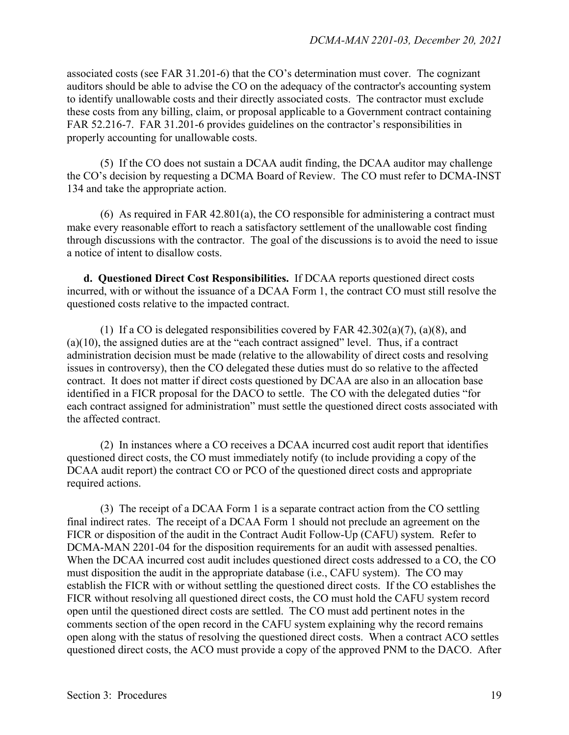associated costs (see FAR 31.201-6) that the CO's determination must cover. The cognizant auditors should be able to advise the CO on the adequacy of the contractor's accounting system to identify unallowable costs and their directly associated costs. The contractor must exclude these costs from any billing, claim, or proposal applicable to a Government contract containing FAR 52.216-7. FAR 31.201-6 provides guidelines on the contractor's responsibilities in properly accounting for unallowable costs.

(5) If the CO does not sustain a DCAA audit finding, the DCAA auditor may challenge the CO's decision by requesting a DCMA Board of Review. The CO must refer to DCMA-INST 134 and take the appropriate action.

(6) As required in FAR 42.801(a), the CO responsible for administering a contract must make every reasonable effort to reach a satisfactory settlement of the unallowable cost finding through discussions with the contractor. The goal of the discussions is to avoid the need to issue a notice of intent to disallow costs.

**d. Questioned Direct Cost Responsibilities.** If DCAA reports questioned direct costs incurred, with or without the issuance of a DCAA Form 1, the contract CO must still resolve the questioned costs relative to the impacted contract.

(1) If a CO is delegated responsibilities covered by FAR  $42.302(a)(7)$ , (a)(8), and  $(a)(10)$ , the assigned duties are at the "each contract assigned" level. Thus, if a contract administration decision must be made (relative to the allowability of direct costs and resolving issues in controversy), then the CO delegated these duties must do so relative to the affected contract. It does not matter if direct costs questioned by DCAA are also in an allocation base identified in a FICR proposal for the DACO to settle. The CO with the delegated duties "for each contract assigned for administration" must settle the questioned direct costs associated with the affected contract.

(2) In instances where a CO receives a DCAA incurred cost audit report that identifies questioned direct costs, the CO must immediately notify (to include providing a copy of the DCAA audit report) the contract CO or PCO of the questioned direct costs and appropriate required actions.

(3) The receipt of a DCAA Form 1 is a separate contract action from the CO settling final indirect rates. The receipt of a DCAA Form 1 should not preclude an agreement on the FICR or disposition of the audit in the Contract Audit Follow-Up (CAFU) system. Refer to DCMA-MAN 2201-04 for the disposition requirements for an audit with assessed penalties. When the DCAA incurred cost audit includes questioned direct costs addressed to a CO, the CO must disposition the audit in the appropriate database (i.e., CAFU system). The CO may establish the FICR with or without settling the questioned direct costs. If the CO establishes the FICR without resolving all questioned direct costs, the CO must hold the CAFU system record open until the questioned direct costs are settled. The CO must add pertinent notes in the comments section of the open record in the CAFU system explaining why the record remains open along with the status of resolving the questioned direct costs. When a contract ACO settles questioned direct costs, the ACO must provide a copy of the approved PNM to the DACO. After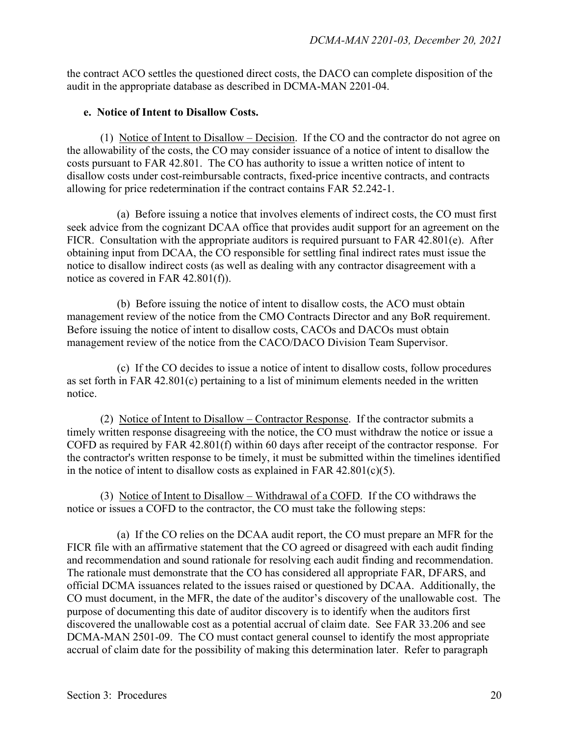the contract ACO settles the questioned direct costs, the DACO can complete disposition of the audit in the appropriate database as described in DCMA-MAN 2201-04.

#### **e. Notice of Intent to Disallow Costs.**

(1) Notice of Intent to Disallow – Decision. If the CO and the contractor do not agree on the allowability of the costs, the CO may consider issuance of a notice of intent to disallow the costs pursuant to FAR 42.801. The CO has authority to issue a written notice of intent to disallow costs under cost-reimbursable contracts, fixed-price incentive contracts, and contracts allowing for price redetermination if the contract contains FAR 52.242-1.

(a) Before issuing a notice that involves elements of indirect costs, the CO must first seek advice from the cognizant DCAA office that provides audit support for an agreement on the FICR. Consultation with the appropriate auditors is required pursuant to FAR 42.801(e). After obtaining input from DCAA, the CO responsible for settling final indirect rates must issue the notice to disallow indirect costs (as well as dealing with any contractor disagreement with a notice as covered in FAR 42.801(f)).

(b) Before issuing the notice of intent to disallow costs, the ACO must obtain management review of the notice from the CMO Contracts Director and any BoR requirement. Before issuing the notice of intent to disallow costs, CACOs and DACOs must obtain management review of the notice from the CACO/DACO Division Team Supervisor.

(c) If the CO decides to issue a notice of intent to disallow costs, follow procedures as set forth in FAR 42.801(c) pertaining to a list of minimum elements needed in the written notice.

(2) Notice of Intent to Disallow – Contractor Response. If the contractor submits a timely written response disagreeing with the notice, the CO must withdraw the notice or issue a COFD as required by FAR 42.801(f) within 60 days after receipt of the contractor response. For the contractor's written response to be timely, it must be submitted within the timelines identified in the notice of intent to disallow costs as explained in FAR  $42.801(c)(5)$ .

(3) Notice of Intent to Disallow – Withdrawal of a COFD. If the CO withdraws the notice or issues a COFD to the contractor, the CO must take the following steps:

(a) If the CO relies on the DCAA audit report, the CO must prepare an MFR for the FICR file with an affirmative statement that the CO agreed or disagreed with each audit finding and recommendation and sound rationale for resolving each audit finding and recommendation. The rationale must demonstrate that the CO has considered all appropriate FAR, DFARS, and official DCMA issuances related to the issues raised or questioned by DCAA. Additionally, the CO must document, in the MFR, the date of the auditor's discovery of the unallowable cost. The purpose of documenting this date of auditor discovery is to identify when the auditors first discovered the unallowable cost as a potential accrual of claim date. See FAR 33.206 and see DCMA-MAN 2501-09. The CO must contact general counsel to identify the most appropriate accrual of claim date for the possibility of making this determination later. Refer to paragraph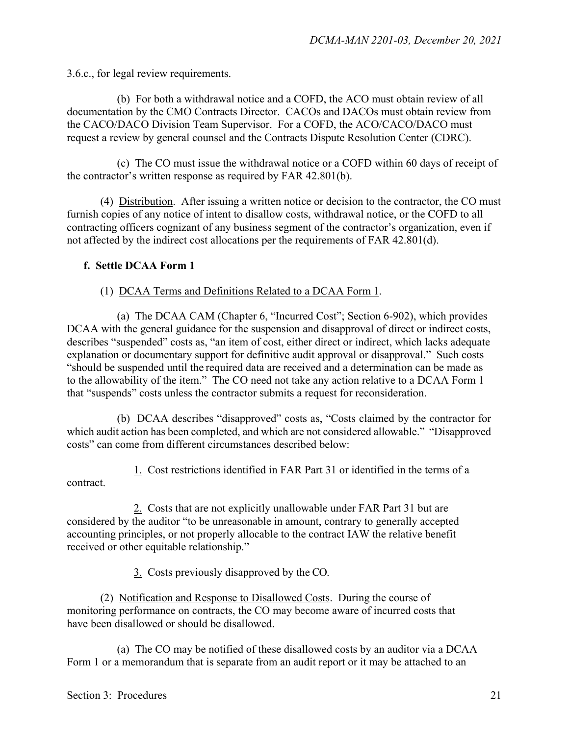3.6.c., for legal review requirements.

(b) For both a withdrawal notice and a COFD, the ACO must obtain review of all documentation by the CMO Contracts Director. CACOs and DACOs must obtain review from the CACO/DACO Division Team Supervisor. For a COFD, the ACO/CACO/DACO must request a review by general counsel and the Contracts Dispute Resolution Center (CDRC).

(c) The CO must issue the withdrawal notice or a COFD within 60 days of receipt of the contractor's written response as required by FAR 42.801(b).

(4) Distribution. After issuing a written notice or decision to the contractor, the CO must furnish copies of any notice of intent to disallow costs, withdrawal notice, or the COFD to all contracting officers cognizant of any business segment of the contractor's organization, even if not affected by the indirect cost allocations per the requirements of FAR 42.801(d).

#### **f. Settle DCAA Form 1**

#### (1) DCAA Terms and Definitions Related to a DCAA Form 1.

(a) The DCAA CAM (Chapter 6, "Incurred Cost"; Section 6-902), which provides DCAA with the general guidance for the suspension and disapproval of direct or indirect costs, describes "suspended" costs as, "an item of cost, either direct or indirect, which lacks adequate explanation or documentary support for definitive audit approval or disapproval." Such costs "should be suspended until the required data are received and a determination can be made as to the allowability of the item." The CO need not take any action relative to a DCAA Form 1 that "suspends" costs unless the contractor submits a request for reconsideration.

(b) DCAA describes "disapproved" costs as, "Costs claimed by the contractor for which audit action has been completed, and which are not considered allowable." "Disapproved costs" can come from different circumstances described below:

1. Cost restrictions identified in FAR Part 31 or identified in the terms of a contract.

2. Costs that are not explicitly unallowable under FAR Part 31 but are considered by the auditor "to be unreasonable in amount, contrary to generally accepted accounting principles, or not properly allocable to the contract IAW the relative benefit received or other equitable relationship."

3. Costs previously disapproved by the CO.

(2) Notification and Response to Disallowed Costs. During the course of monitoring performance on contracts, the CO may become aware of incurred costs that have been disallowed or should be disallowed.

(a) The CO may be notified of these disallowed costs by an auditor via a DCAA Form 1 or a memorandum that is separate from an audit report or it may be attached to an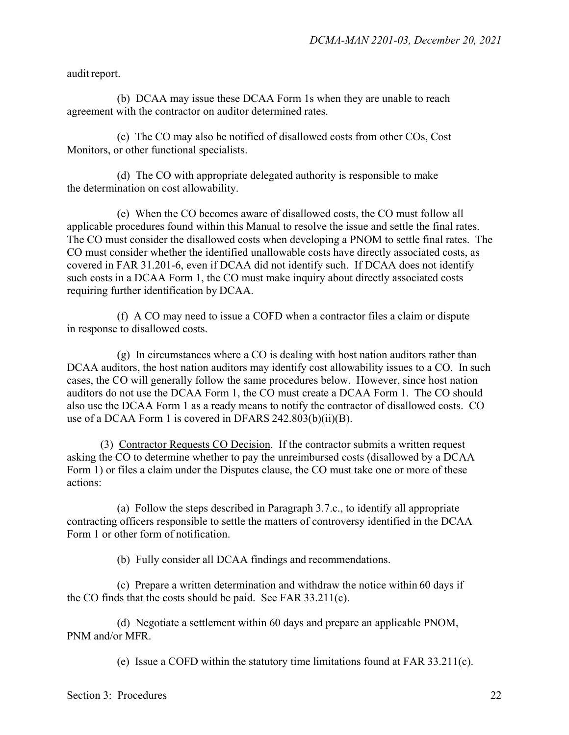audit report.

(b) DCAA may issue these DCAA Form 1s when they are unable to reach agreement with the contractor on auditor determined rates.

(c) The CO may also be notified of disallowed costs from other COs, Cost Monitors, or other functional specialists.

(d) The CO with appropriate delegated authority is responsible to make the determination on cost allowability.

(e) When the CO becomes aware of disallowed costs, the CO must follow all applicable procedures found within this Manual to resolve the issue and settle the final rates. The CO must consider the disallowed costs when developing a PNOM to settle final rates. The CO must consider whether the identified unallowable costs have directly associated costs, as covered in FAR 31.201-6, even if DCAA did not identify such. If DCAA does not identify such costs in a DCAA Form 1, the CO must make inquiry about directly associated costs requiring further identification by DCAA.

(f) A CO may need to issue a COFD when a contractor files a claim or dispute in response to disallowed costs.

(g) In circumstances where a CO is dealing with host nation auditors rather than DCAA auditors, the host nation auditors may identify cost allowability issues to a CO. In such cases, the CO will generally follow the same procedures below. However, since host nation auditors do not use the DCAA Form 1, the CO must create a DCAA Form 1. The CO should also use the DCAA Form 1 as a ready means to notify the contractor of disallowed costs. CO use of a DCAA Form 1 is covered in DFARS 242.803(b)(ii)(B).

(3) Contractor Requests CO Decision. If the contractor submits a written request asking the CO to determine whether to pay the unreimbursed costs (disallowed by a DCAA Form 1) or files a claim under the Disputes clause, the CO must take one or more of these actions:

(a) Follow the steps described in Paragraph 3.7.c., to identify all appropriate contracting officers responsible to settle the matters of controversy identified in the DCAA Form 1 or other form of notification.

(b) Fully consider all DCAA findings and recommendations.

(c) Prepare a written determination and withdraw the notice within 60 days if the CO finds that the costs should be paid. See FAR 33.211(c).

(d) Negotiate a settlement within 60 days and prepare an applicable PNOM, PNM and/or MFR.

(e) Issue a COFD within the statutory time limitations found at FAR 33.211(c).

Section 3: Procedures 22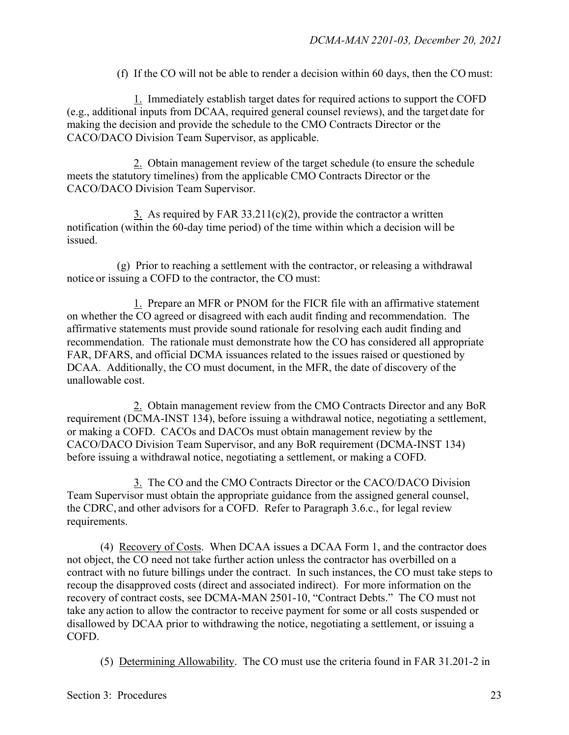(f) If the CO will not be able to render a decision within 60 days, then the CO must:

1. Immediately establish target dates for required actions to support the COFD (e.g., additional inputs from DCAA, required general counsel reviews), and the target date for making the decision and provide the schedule to the CMO Contracts Director or the CACO/DACO Division Team Supervisor, as applicable.

2. Obtain management review of the target schedule (to ensure the schedule meets the statutory timelines) from the applicable CMO Contracts Director or the CACO/DACO Division Team Supervisor.

3. As required by FAR  $33.211(c)(2)$ , provide the contractor a written notification (within the 60-day time period) of the time within which a decision will be issued.

(g) Prior to reaching a settlement with the contractor, or releasing a withdrawal notice or issuing a COFD to the contractor, the CO must:

1. Prepare an MFR or PNOM for the FICR file with an affirmative statement on whether the CO agreed or disagreed with each audit finding and recommendation. The affirmative statements must provide sound rationale for resolving each audit finding and recommendation. The rationale must demonstrate how the CO has considered all appropriate FAR, DFARS, and official DCMA issuances related to the issues raised or questioned by DCAA. Additionally, the CO must document, in the MFR, the date of discovery of the unallowable cost.

2. Obtain management review from the CMO Contracts Director and any BoR requirement (DCMA-INST 134), before issuing a withdrawal notice, negotiating a settlement, or making a COFD. CACOs and DACOs must obtain management review by the CACO/DACO Division Team Supervisor, and any BoR requirement (DCMA-INST 134) before issuing a withdrawal notice, negotiating a settlement, or making a COFD.

3. The CO and the CMO Contracts Director or the CACO/DACO Division Team Supervisor must obtain the appropriate guidance from the assigned general counsel, the CDRC, and other advisors for a COFD. Refer to Paragraph 3.6.c., for legal review requirements.

(4) Recovery of Costs. When DCAA issues a DCAA Form 1, and the contractor does not object, the CO need not take further action unless the contractor has overbilled on a contract with no future billings under the contract. In such instances, the CO must take steps to recoup the disapproved costs (direct and associated indirect). For more information on the recovery of contract costs, see DCMA-MAN 2501-10, "Contract Debts." The CO must not take any action to allow the contractor to receive payment for some or all costs suspended or disallowed by DCAA prior to withdrawing the notice, negotiating a settlement, or issuing a COFD.

(5) Determining Allowability. The CO must use the criteria found in FAR 31.201-2 in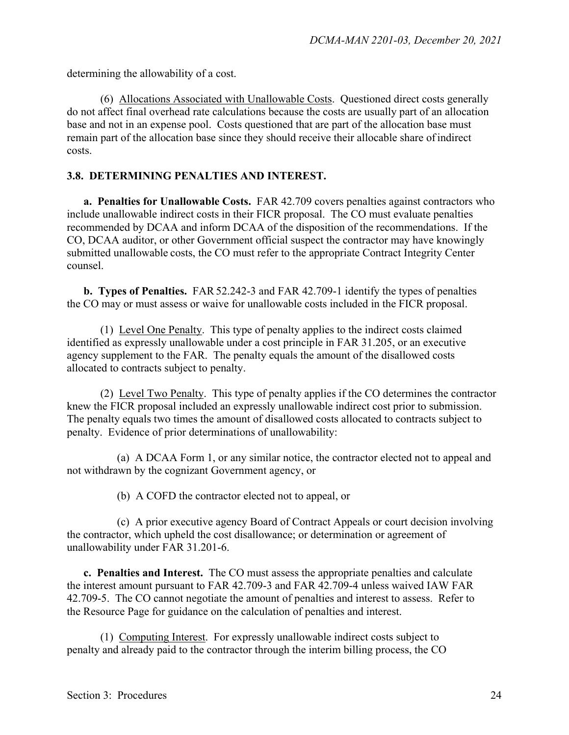determining the allowability of a cost.

(6) Allocations Associated with Unallowable Costs. Questioned direct costs generally do not affect final overhead rate calculations because the costs are usually part of an allocation base and not in an expense pool. Costs questioned that are part of the allocation base must remain part of the allocation base since they should receive their allocable share ofindirect costs.

#### **3.8. DETERMINING PENALTIES AND INTEREST.**

**a. Penalties for Unallowable Costs.** FAR 42.709 covers penalties against contractors who include unallowable indirect costs in their FICR proposal. The CO must evaluate penalties recommended by DCAA and inform DCAA of the disposition of the recommendations. If the CO, DCAA auditor, or other Government official suspect the contractor may have knowingly submitted unallowable costs, the CO must refer to the appropriate Contract Integrity Center counsel.

**b. Types of Penalties.** FAR 52.242-3 and FAR 42.709-1 identify the types of penalties the CO may or must assess or waive for unallowable costs included in the FICR proposal.

(1) Level One Penalty. This type of penalty applies to the indirect costs claimed identified as expressly unallowable under a cost principle in FAR 31.205, or an executive agency supplement to the FAR. The penalty equals the amount of the disallowed costs allocated to contracts subject to penalty.

(2) Level Two Penalty. This type of penalty applies if the CO determines the contractor knew the FICR proposal included an expressly unallowable indirect cost prior to submission. The penalty equals two times the amount of disallowed costs allocated to contracts subject to penalty. Evidence of prior determinations of unallowability:

(a) A DCAA Form 1, or any similar notice, the contractor elected not to appeal and not withdrawn by the cognizant Government agency, or

(b) A COFD the contractor elected not to appeal, or

(c) A prior executive agency Board of Contract Appeals or court decision involving the contractor, which upheld the cost disallowance; or determination or agreement of unallowability under FAR [31.201-6.](https://www.acquisition.gov/content/part-31-contract-cost-principles-and-procedures#i1084587)

**c. Penalties and Interest.** The CO must assess the appropriate penalties and calculate the interest amount pursuant to FAR 42.709-3 and FAR 42.709-4 unless waived IAW FAR 42.709-5. The CO cannot negotiate the amount of penalties and interest to assess. Refer to the Resource Page for guidance on the calculation of penalties and interest.

(1) Computing Interest. For expressly unallowable indirect costs subject to penalty and already paid to the contractor through the interim billing process, the CO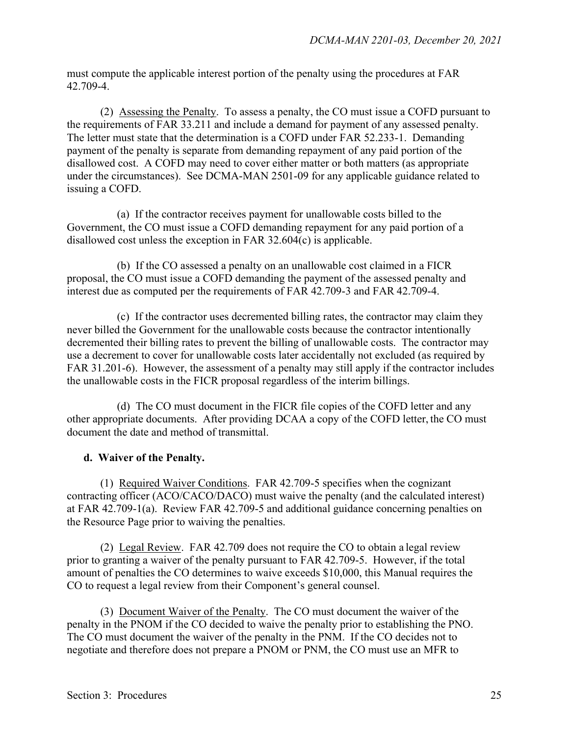must compute the applicable interest portion of the penalty using the procedures at FAR 42.709-4.

(2) Assessing the Penalty. To assess a penalty, the CO must issue a COFD pursuant to the requirements of FAR 33.211 and include a demand for payment of any assessed penalty. The letter must state that the determination is a COFD under FAR 52.233-1. Demanding payment of the penalty is separate from demanding repayment of any paid portion of the disallowed cost. A COFD may need to cover either matter or both matters (as appropriate under the circumstances). See DCMA-MAN 2501-09 for any applicable guidance related to issuing a COFD.

(a) If the contractor receives payment for unallowable costs billed to the Government, the CO must issue a COFD demanding repayment for any paid portion of a disallowed cost unless the exception in FAR 32.604(c) is applicable.

(b) If the CO assessed a penalty on an unallowable cost claimed in a FICR proposal, the CO must issue a COFD demanding the payment of the assessed penalty and interest due as computed per the requirements of FAR 42.709-3 and FAR 42.709-4.

(c) If the contractor uses decremented billing rates, the contractor may claim they never billed the Government for the unallowable costs because the contractor intentionally decremented their billing rates to prevent the billing of unallowable costs. The contractor may use a decrement to cover for unallowable costs later accidentally not excluded (as required by FAR 31.201-6). However, the assessment of a penalty may still apply if the contractor includes the unallowable costs in the FICR proposal regardless of the interim billings.

(d) The CO must document in the FICR file copies of the COFD letter and any other appropriate documents. After providing DCAA a copy of the COFD letter, the CO must document the date and method of transmittal.

#### **d. Waiver of the Penalty.**

(1) Required Waiver Conditions. FAR 42.709-5 specifies when the cognizant contracting officer (ACO/CACO/DACO) must waive the penalty (and the calculated interest) at FAR 42.709-1(a). Review FAR 42.709-5 and additional guidance concerning penalties on the Resource Page prior to waiving the penalties.

(2) Legal Review. FAR 42.709 does not require the CO to obtain a legal review prior to granting a waiver of the penalty pursuant to FAR 42.709-5. However, if the total amount of penalties the CO determines to waive exceeds \$10,000, this Manual requires the CO to request a legal review from their Component's general counsel.

(3) Document Waiver of the Penalty. The CO must document the waiver of the penalty in the PNOM if the CO decided to waive the penalty prior to establishing the PNO. The CO must document the waiver of the penalty in the PNM. If the CO decides not to negotiate and therefore does not prepare a PNOM or PNM, the CO must use an MFR to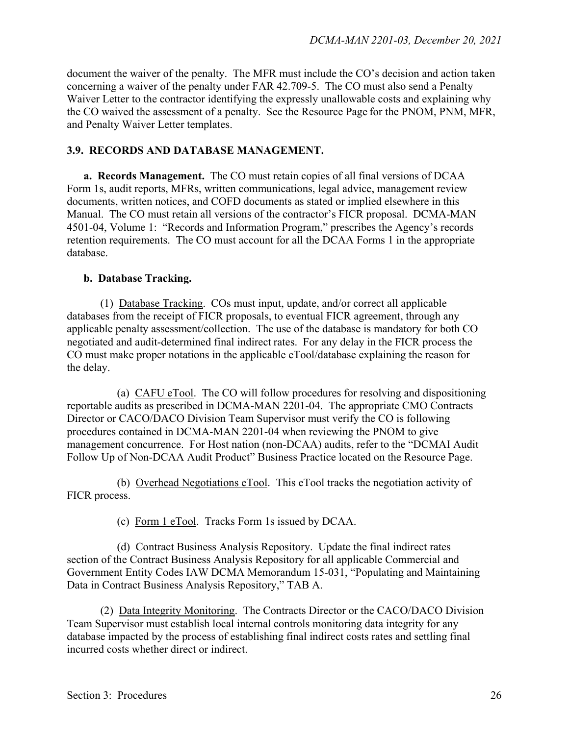document the waiver of the penalty. The MFR must include the CO's decision and action taken concerning a waiver of the penalty under FAR 42.709-5. The CO must also send a Penalty Waiver Letter to the contractor identifying the expressly unallowable costs and explaining why the CO waived the assessment of a penalty. See the Resource Page for the PNOM, PNM, MFR, and Penalty Waiver Letter templates.

#### **3.9. RECORDS AND DATABASE MANAGEMENT.**

**a. Records Management.** The CO must retain copies of all final versions of DCAA Form 1s, audit reports, MFRs, written communications, legal advice, management review documents, written notices, and COFD documents as stated or implied elsewhere in this Manual. The CO must retain all versions of the contractor's FICR proposal. DCMA-MAN 4501-04, Volume 1: "Records and Information Program," prescribes the Agency's records retention requirements. The CO must account for all the DCAA Forms 1 in the appropriate database.

#### **b. Database Tracking.**

(1) Database Tracking. COs must input, update, and/or correct all applicable databases from the receipt of FICR proposals, to eventual FICR agreement, through any applicable penalty assessment/collection. The use of the database is mandatory for both CO negotiated and audit-determined final indirect rates. For any delay in the FICR process the CO must make proper notations in the applicable eTool/database explaining the reason for the delay.

(a) CAFU eTool. The CO will follow procedures for resolving and dispositioning reportable audits as prescribed in DCMA-MAN 2201-04. The appropriate CMO Contracts Director or CACO/DACO Division Team Supervisor must verify the CO is following procedures contained in DCMA-MAN 2201-04 when reviewing the PNOM to give management concurrence. For Host nation (non-DCAA) audits, refer to the "DCMAI Audit Follow Up of Non-DCAA Audit Product" Business Practice located on the Resource Page.

(b) Overhead Negotiations eTool. This eTool tracks the negotiation activity of FICR process.

(c) Form 1 eTool. Tracks Form 1s issued by DCAA.

(d) Contract Business Analysis Repository. Update the final indirect rates section of the Contract Business Analysis Repository for all applicable Commercial and Government Entity Codes IAW DCMA Memorandum 15-031, "Populating and Maintaining Data in Contract Business Analysis Repository," TAB A.

(2) Data Integrity Monitoring. The Contracts Director or the CACO/DACO Division Team Supervisor must establish local internal controls monitoring data integrity for any database impacted by the process of establishing final indirect costs rates and settling final incurred costs whether direct or indirect.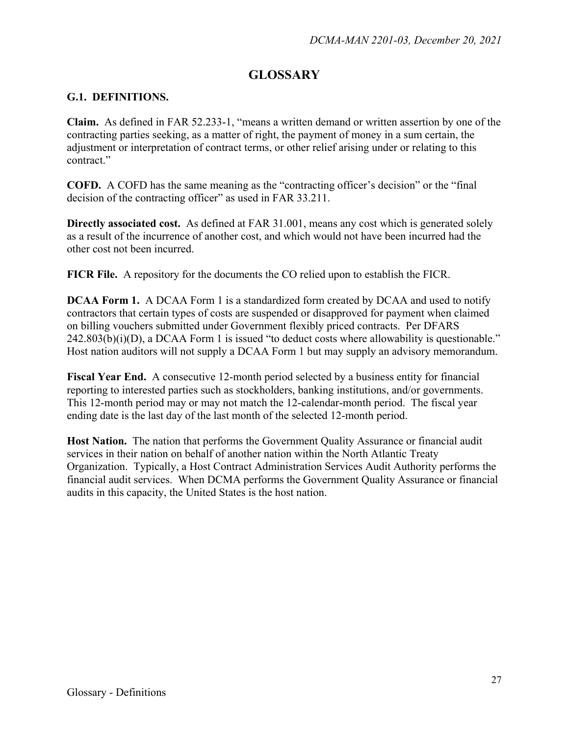## **GLOSSARY**

#### <span id="page-26-0"></span>**G.1. DEFINITIONS.**

**Claim.** As defined in FAR 52.233-1, "means a written demand or written assertion by one of the contracting parties seeking, as a matter of right, the payment of money in a sum certain, the adjustment or interpretation of contract terms, or other relief arising under or relating to this contract<sup>"</sup>

**COFD.** A COFD has the same meaning as the "contracting officer's decision" or the "final decision of the contracting officer" as used in FAR 33.211.

**Directly associated cost.** As defined at FAR 31.001, means any cost which is generated solely as a result of the incurrence of another cost, and which would not have been incurred had the other cost not been incurred.

**FICR File.** A repository for the documents the CO relied upon to establish the FICR.

**DCAA Form 1.** A DCAA Form 1 is a standardized form created by DCAA and used to notify contractors that certain types of costs are suspended or disapproved for payment when claimed on billing vouchers submitted under Government flexibly priced contracts. Per DFARS  $242.803(b)(i)(D)$ , a DCAA Form 1 is issued "to deduct costs where allowability is questionable." Host nation auditors will not supply a DCAA Form 1 but may supply an advisory memorandum.

**Fiscal Year End.** A consecutive 12-month period selected by a business entity for financial reporting to interested parties such as stockholders, banking institutions, and/or governments. This 12-month period may or may not match the 12-calendar-month period. The fiscal year ending date is the last day of the last month of the selected 12-month period.

**Host Nation.** The nation that performs the Government Quality Assurance or financial audit services in their nation on behalf of another nation within the North Atlantic Treaty Organization. Typically, a Host Contract Administration Services Audit Authority performs the financial audit services. When DCMA performs the Government Quality Assurance or financial audits in this capacity, the United States is the host nation.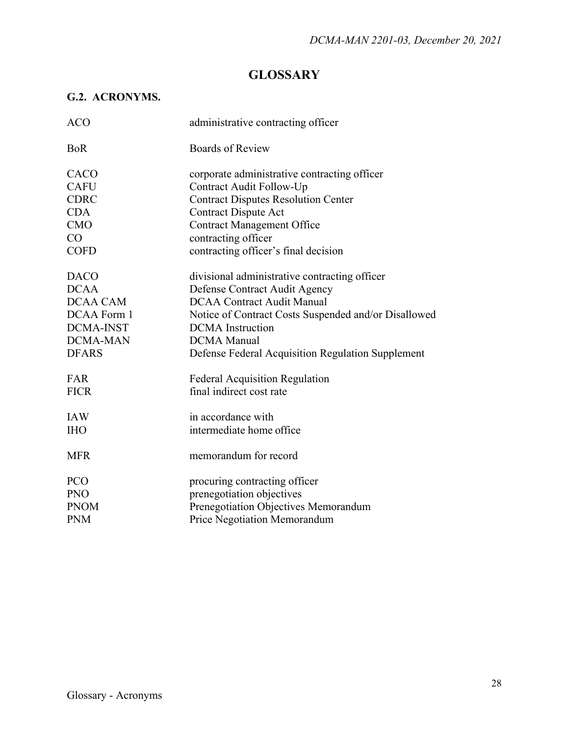## **GLOSSARY**

### <span id="page-27-0"></span>**G.2. ACRONYMS.**

| <b>ACO</b>       | administrative contracting officer                   |
|------------------|------------------------------------------------------|
| <b>BoR</b>       | <b>Boards of Review</b>                              |
| CACO             | corporate administrative contracting officer         |
| <b>CAFU</b>      | Contract Audit Follow-Up                             |
| <b>CDRC</b>      | <b>Contract Disputes Resolution Center</b>           |
| <b>CDA</b>       | <b>Contract Dispute Act</b>                          |
| <b>CMO</b>       | <b>Contract Management Office</b>                    |
| CO               | contracting officer                                  |
| <b>COFD</b>      | contracting officer's final decision                 |
| <b>DACO</b>      | divisional administrative contracting officer        |
| <b>DCAA</b>      | Defense Contract Audit Agency                        |
| DCAA CAM         | <b>DCAA Contract Audit Manual</b>                    |
| DCAA Form 1      | Notice of Contract Costs Suspended and/or Disallowed |
| <b>DCMA-INST</b> | <b>DCMA</b> Instruction                              |
| <b>DCMA-MAN</b>  | <b>DCMA</b> Manual                                   |
| <b>DFARS</b>     | Defense Federal Acquisition Regulation Supplement    |
| FAR              | <b>Federal Acquisition Regulation</b>                |
| <b>FICR</b>      | final indirect cost rate                             |
| <b>IAW</b>       | in accordance with                                   |
| <b>IHO</b>       | intermediate home office                             |
| <b>MFR</b>       | memorandum for record                                |
| <b>PCO</b>       | procuring contracting officer                        |
| <b>PNO</b>       | prenegotiation objectives                            |
| <b>PNOM</b>      | Prenegotiation Objectives Memorandum                 |
| <b>PNM</b>       | Price Negotiation Memorandum                         |